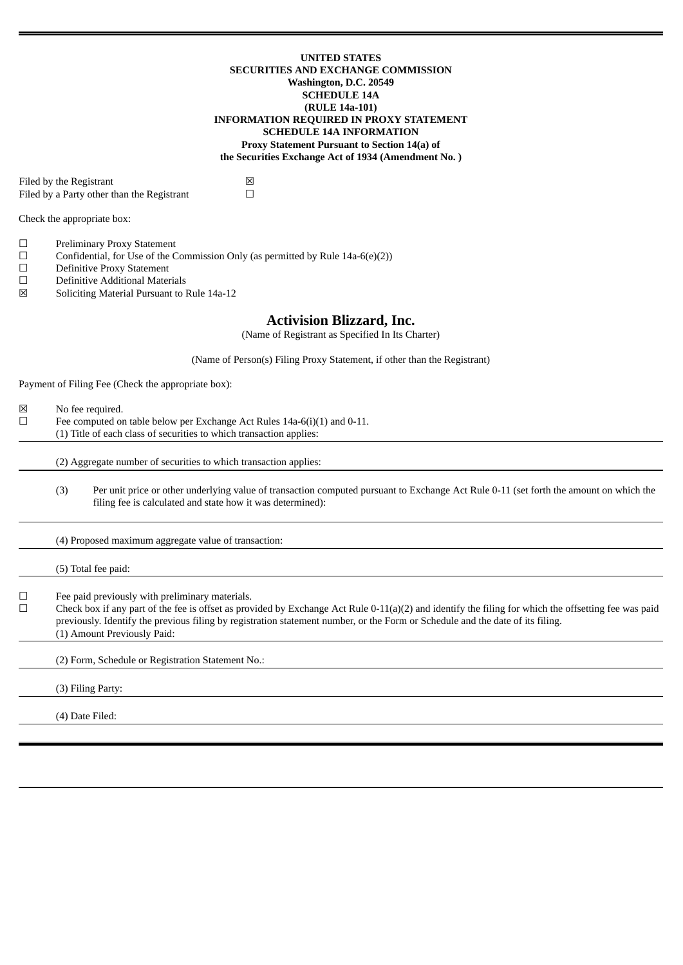### **UNITED STATES SECURITIES AND EXCHANGE COMMISSION Washington, D.C. 20549 SCHEDULE 14A (RULE 14a-101) INFORMATION REQUIRED IN PROXY STATEMENT SCHEDULE 14A INFORMATION Proxy Statement Pursuant to Section 14(a) of the Securities Exchange Act of 1934 (Amendment No. )**

Filed by the Registrant  $\boxtimes$ <br>Filed by a Party other than the Registrant  $\Box$ Filed by a Party other than the Registrant

Check the appropriate box:

- ☐ Preliminary Proxy Statement
- $\Box$  Confidential, for Use of the Commission Only (as permitted by Rule 14a-6(e)(2))
- ☐ Definitive Proxy Statement
- ☐ Definitive Additional Materials
- ☒ Soliciting Material Pursuant to Rule 14a-12

# **Activision Blizzard, Inc.**

(Name of Registrant as Specified In Its Charter)

(Name of Person(s) Filing Proxy Statement, if other than the Registrant)

Payment of Filing Fee (Check the appropriate box):

- ☒ No fee required.
- $\Box$  Fee computed on table below per Exchange Act Rules 14a-6(i)(1) and 0-11.
- (1) Title of each class of securities to which transaction applies:

(2) Aggregate number of securities to which transaction applies:

(3) Per unit price or other underlying value of transaction computed pursuant to Exchange Act Rule 0-11 (set forth the amount on which the filing fee is calculated and state how it was determined):

(4) Proposed maximum aggregate value of transaction:

(5) Total fee paid: ☐ Fee paid previously with preliminary materials.  $\Box$  Check box if any part of the fee is offset as provided by Exchange Act Rule 0-11(a)(2) and identify the filing for which the offsetting fee was paid previously. Identify the previous filing by registration statement number, or the Form or Schedule and the date of its filing. (1) Amount Previously Paid: (2) Form, Schedule or Registration Statement No.: (3) Filing Party: (4) Date Filed: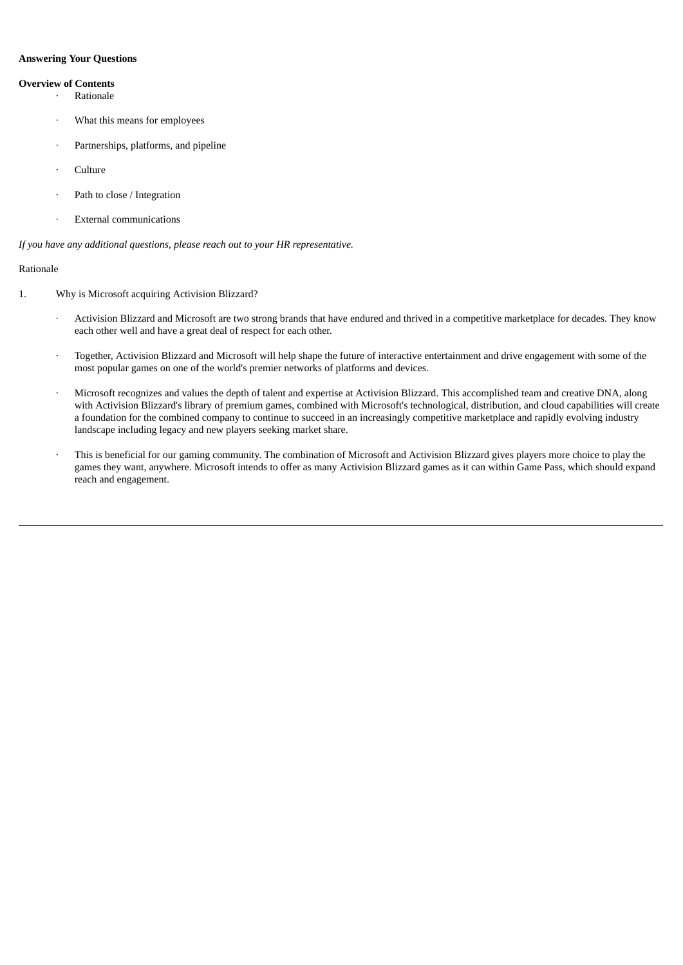## **Answering Your Questions**

## **Overview of Contents**

- **Rationale**
- What this means for employees
- Partnerships, platforms, and pipeline
- · Culture
- Path to close / Integration
- · External communications

*If you have any additional questions, please reach out to your HR representative.*

## Rationale

- 1. Why is Microsoft acquiring Activision Blizzard?
	- · Activision Blizzard and Microsoft are two strong brands that have endured and thrived in a competitive marketplace for decades. They know each other well and have a great deal of respect for each other.
	- · Together, Activision Blizzard and Microsoft will help shape the future of interactive entertainment and drive engagement with some of the most popular games on one of the world's premier networks of platforms and devices.
	- · Microsoft recognizes and values the depth of talent and expertise at Activision Blizzard. This accomplished team and creative DNA, along with Activision Blizzard's library of premium games, combined with Microsoft's technological, distribution, and cloud capabilities will create a foundation for the combined company to continue to succeed in an increasingly competitive marketplace and rapidly evolving industry landscape including legacy and new players seeking market share.
	- This is beneficial for our gaming community. The combination of Microsoft and Activision Blizzard gives players more choice to play the games they want, anywhere. Microsoft intends to offer as many Activision Blizzard games as it can within Game Pass, which should expand reach and engagement.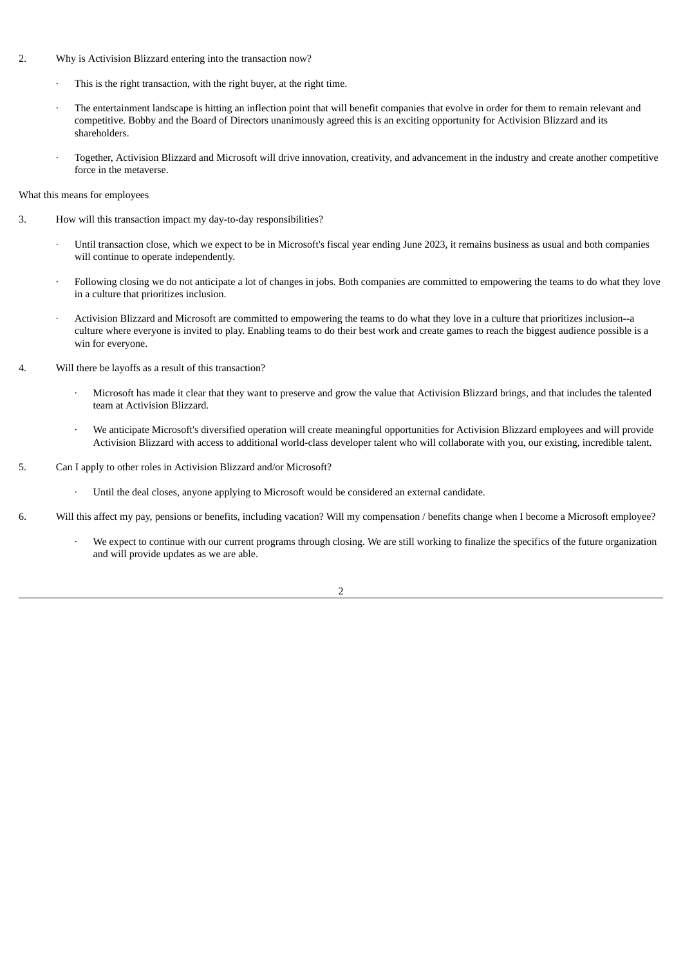- 2. Why is Activision Blizzard entering into the transaction now?
	- This is the right transaction, with the right buyer, at the right time.
	- The entertainment landscape is hitting an inflection point that will benefit companies that evolve in order for them to remain relevant and competitive. Bobby and the Board of Directors unanimously agreed this is an exciting opportunity for Activision Blizzard and its shareholders.
	- · Together, Activision Blizzard and Microsoft will drive innovation, creativity, and advancement in the industry and create another competitive force in the metaverse.

What this means for employees

- 3. How will this transaction impact my day-to-day responsibilities?
	- · Until transaction close, which we expect to be in Microsoft's fiscal year ending June 2023, it remains business as usual and both companies will continue to operate independently.
	- · Following closing we do not anticipate a lot of changes in jobs. Both companies are committed to empowering the teams to do what they love in a culture that prioritizes inclusion.
	- · Activision Blizzard and Microsoft are committed to empowering the teams to do what they love in a culture that prioritizes inclusion--a culture where everyone is invited to play. Enabling teams to do their best work and create games to reach the biggest audience possible is a win for everyone.
- 4. Will there be layoffs as a result of this transaction?
	- · Microsoft has made it clear that they want to preserve and grow the value that Activision Blizzard brings, and that includes the talented team at Activision Blizzard.
	- · We anticipate Microsoft's diversified operation will create meaningful opportunities for Activision Blizzard employees and will provide Activision Blizzard with access to additional world-class developer talent who will collaborate with you, our existing, incredible talent.
- 5. Can I apply to other roles in Activision Blizzard and/or Microsoft?
	- · Until the deal closes, anyone applying to Microsoft would be considered an external candidate.
- 6. Will this affect my pay, pensions or benefits, including vacation? Will my compensation / benefits change when I become a Microsoft employee?
	- We expect to continue with our current programs through closing. We are still working to finalize the specifics of the future organization and will provide updates as we are able.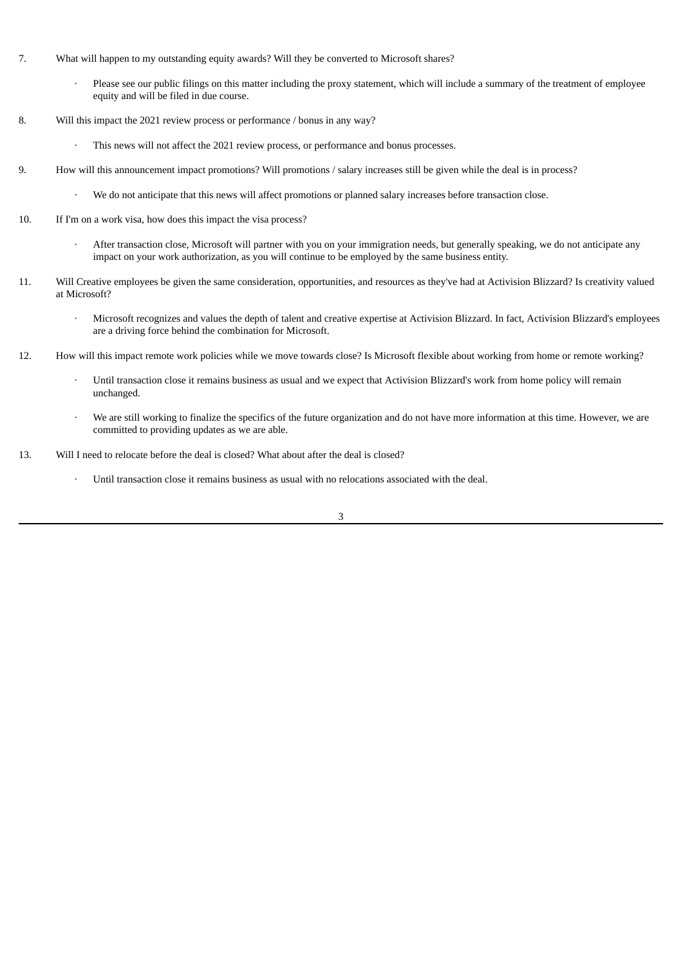- 7. What will happen to my outstanding equity awards? Will they be converted to Microsoft shares?
	- Please see our public filings on this matter including the proxy statement, which will include a summary of the treatment of employee equity and will be filed in due course.
- 8. Will this impact the 2021 review process or performance / bonus in any way?
	- This news will not affect the 2021 review process, or performance and bonus processes.
- 9. How will this announcement impact promotions? Will promotions / salary increases still be given while the deal is in process?
	- · We do not anticipate that this news will affect promotions or planned salary increases before transaction close.
- 10. If I'm on a work visa, how does this impact the visa process?
	- · After transaction close, Microsoft will partner with you on your immigration needs, but generally speaking, we do not anticipate any impact on your work authorization, as you will continue to be employed by the same business entity.
- 11. Will Creative employees be given the same consideration, opportunities, and resources as they've had at Activision Blizzard? Is creativity valued at Microsoft?
	- · Microsoft recognizes and values the depth of talent and creative expertise at Activision Blizzard. In fact, Activision Blizzard's employees are a driving force behind the combination for Microsoft.
- 12. How will this impact remote work policies while we move towards close? Is Microsoft flexible about working from home or remote working?
	- Until transaction close it remains business as usual and we expect that Activision Blizzard's work from home policy will remain unchanged.
	- We are still working to finalize the specifics of the future organization and do not have more information at this time. However, we are committed to providing updates as we are able.
- 13. Will I need to relocate before the deal is closed? What about after the deal is closed?
	- · Until transaction close it remains business as usual with no relocations associated with the deal.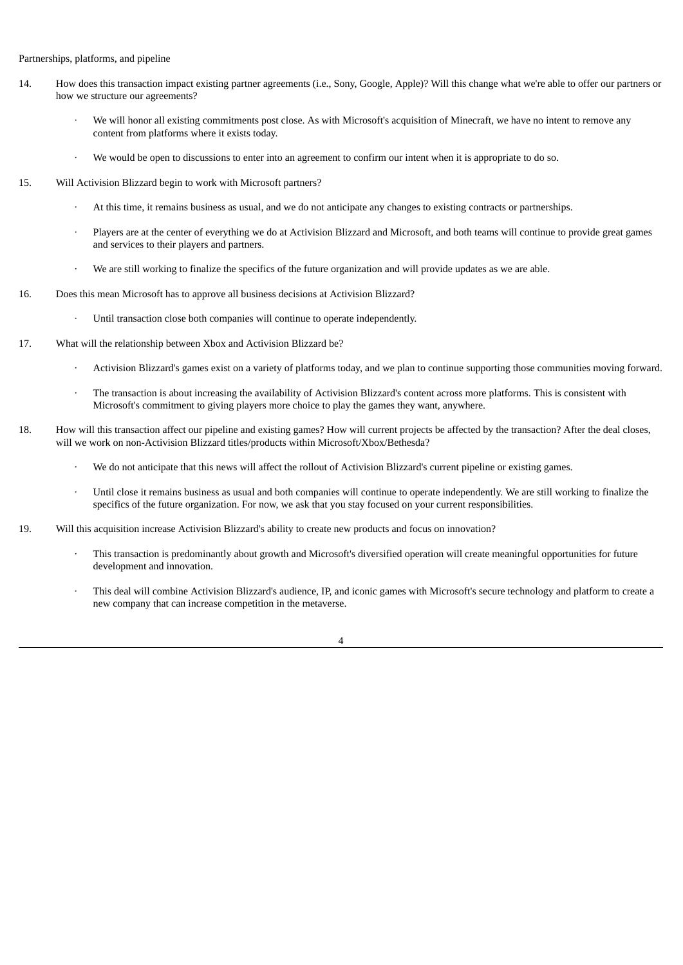### Partnerships, platforms, and pipeline

- 14. How does this transaction impact existing partner agreements (i.e., Sony, Google, Apple)? Will this change what we're able to offer our partners or how we structure our agreements?
	- We will honor all existing commitments post close. As with Microsoft's acquisition of Minecraft, we have no intent to remove any content from platforms where it exists today.
	- We would be open to discussions to enter into an agreement to confirm our intent when it is appropriate to do so.
- 15. Will Activision Blizzard begin to work with Microsoft partners?
	- · At this time, it remains business as usual, and we do not anticipate any changes to existing contracts or partnerships.
	- Players are at the center of everything we do at Activision Blizzard and Microsoft, and both teams will continue to provide great games and services to their players and partners.
	- We are still working to finalize the specifics of the future organization and will provide updates as we are able.
- 16. Does this mean Microsoft has to approve all business decisions at Activision Blizzard?
	- Until transaction close both companies will continue to operate independently.
- 17. What will the relationship between Xbox and Activision Blizzard be?
	- · Activision Blizzard's games exist on a variety of platforms today, and we plan to continue supporting those communities moving forward.
	- · The transaction is about increasing the availability of Activision Blizzard's content across more platforms. This is consistent with Microsoft's commitment to giving players more choice to play the games they want, anywhere.
- 18. How will this transaction affect our pipeline and existing games? How will current projects be affected by the transaction? After the deal closes, will we work on non-Activision Blizzard titles/products within Microsoft/Xbox/Bethesda?
	- · We do not anticipate that this news will affect the rollout of Activision Blizzard's current pipeline or existing games.
	- · Until close it remains business as usual and both companies will continue to operate independently. We are still working to finalize the specifics of the future organization. For now, we ask that you stay focused on your current responsibilities.
- 19. Will this acquisition increase Activision Blizzard's ability to create new products and focus on innovation?
	- · This transaction is predominantly about growth and Microsoft's diversified operation will create meaningful opportunities for future development and innovation.
	- This deal will combine Activision Blizzard's audience, IP, and iconic games with Microsoft's secure technology and platform to create a new company that can increase competition in the metaverse.

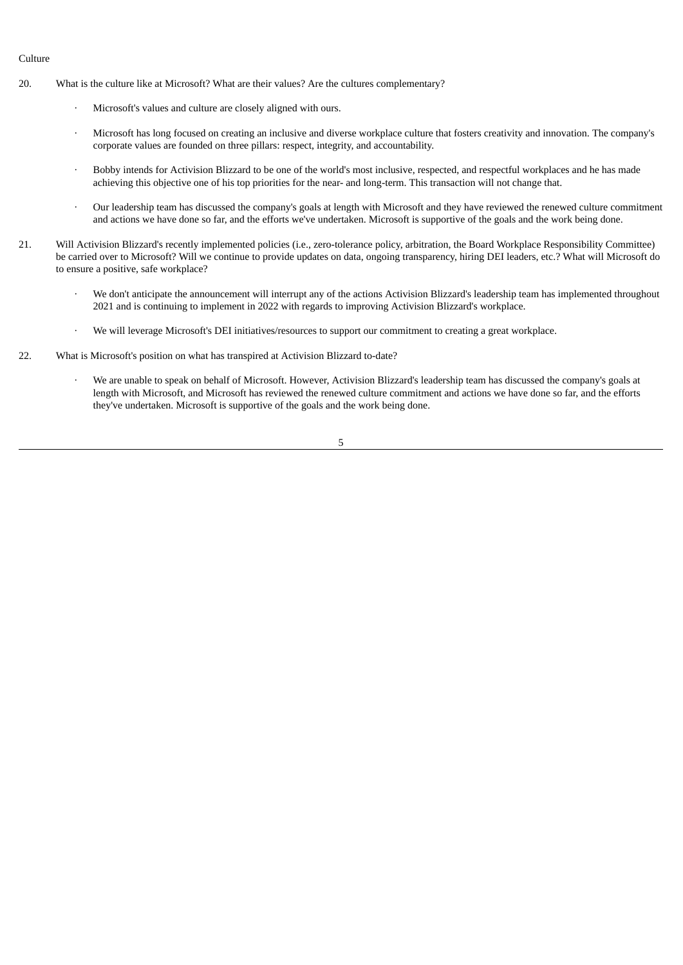## Culture

- 20. What is the culture like at Microsoft? What are their values? Are the cultures complementary?
	- Microsoft's values and culture are closely aligned with ours.
	- · Microsoft has long focused on creating an inclusive and diverse workplace culture that fosters creativity and innovation. The company's corporate values are founded on three pillars: respect, integrity, and accountability.
	- · Bobby intends for Activision Blizzard to be one of the world's most inclusive, respected, and respectful workplaces and he has made achieving this objective one of his top priorities for the near- and long-term. This transaction will not change that.
	- · Our leadership team has discussed the company's goals at length with Microsoft and they have reviewed the renewed culture commitment and actions we have done so far, and the efforts we've undertaken. Microsoft is supportive of the goals and the work being done.
- 21. Will Activision Blizzard's recently implemented policies (i.e., zero-tolerance policy, arbitration, the Board Workplace Responsibility Committee) be carried over to Microsoft? Will we continue to provide updates on data, ongoing transparency, hiring DEI leaders, etc.? What will Microsoft do to ensure a positive, safe workplace?
	- We don't anticipate the announcement will interrupt any of the actions Activision Blizzard's leadership team has implemented throughout 2021 and is continuing to implement in 2022 with regards to improving Activision Blizzard's workplace.
	- · We will leverage Microsoft's DEI initiatives/resources to support our commitment to creating a great workplace.
- 22. What is Microsoft's position on what has transpired at Activision Blizzard to-date?
	- · We are unable to speak on behalf of Microsoft. However, Activision Blizzard's leadership team has discussed the company's goals at length with Microsoft, and Microsoft has reviewed the renewed culture commitment and actions we have done so far, and the efforts they've undertaken. Microsoft is supportive of the goals and the work being done.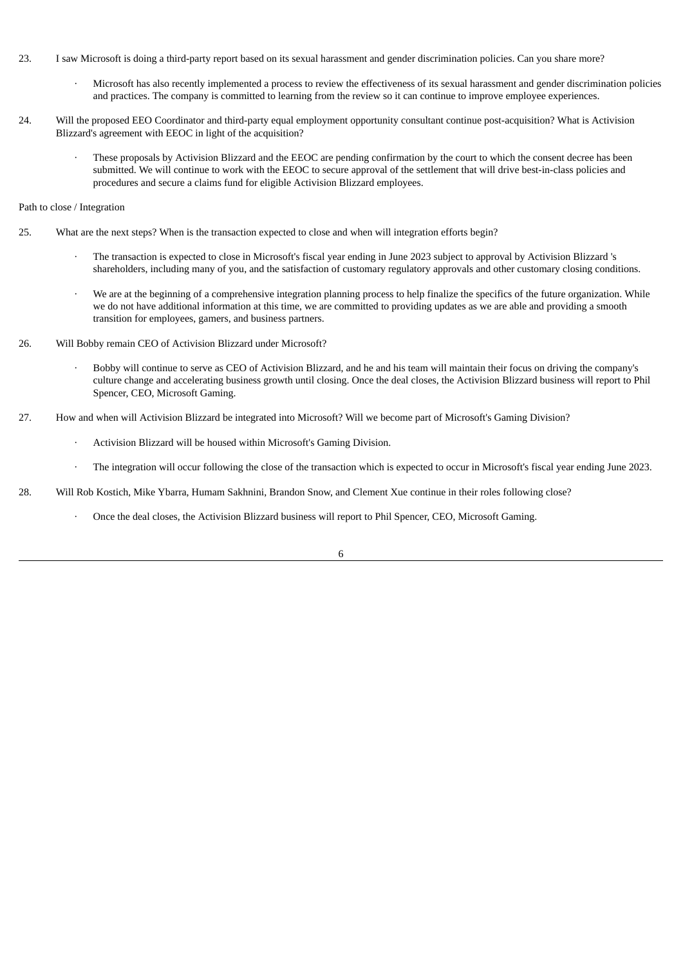- 23. I saw Microsoft is doing a third-party report based on its sexual harassment and gender discrimination policies. Can you share more?
	- · Microsoft has also recently implemented a process to review the effectiveness of its sexual harassment and gender discrimination policies and practices. The company is committed to learning from the review so it can continue to improve employee experiences.
- 24. Will the proposed EEO Coordinator and third-party equal employment opportunity consultant continue post-acquisition? What is Activision Blizzard's agreement with EEOC in light of the acquisition?
	- These proposals by Activision Blizzard and the EEOC are pending confirmation by the court to which the consent decree has been submitted. We will continue to work with the EEOC to secure approval of the settlement that will drive best-in-class policies and procedures and secure a claims fund for eligible Activision Blizzard employees.

#### Path to close / Integration

- 25. What are the next steps? When is the transaction expected to close and when will integration efforts begin?
	- The transaction is expected to close in Microsoft's fiscal year ending in June 2023 subject to approval by Activision Blizzard 's shareholders, including many of you, and the satisfaction of customary regulatory approvals and other customary closing conditions.
	- We are at the beginning of a comprehensive integration planning process to help finalize the specifics of the future organization. While we do not have additional information at this time, we are committed to providing updates as we are able and providing a smooth transition for employees, gamers, and business partners.
- 26. Will Bobby remain CEO of Activision Blizzard under Microsoft?
	- · Bobby will continue to serve as CEO of Activision Blizzard, and he and his team will maintain their focus on driving the company's culture change and accelerating business growth until closing. Once the deal closes, the Activision Blizzard business will report to Phil Spencer, CEO, Microsoft Gaming.
- 27. How and when will Activision Blizzard be integrated into Microsoft? Will we become part of Microsoft's Gaming Division?
	- Activision Blizzard will be housed within Microsoft's Gaming Division.
	- · The integration will occur following the close of the transaction which is expected to occur in Microsoft's fiscal year ending June 2023.
- 28. Will Rob Kostich, Mike Ybarra, Humam Sakhnini, Brandon Snow, and Clement Xue continue in their roles following close?
	- · Once the deal closes, the Activision Blizzard business will report to Phil Spencer, CEO, Microsoft Gaming.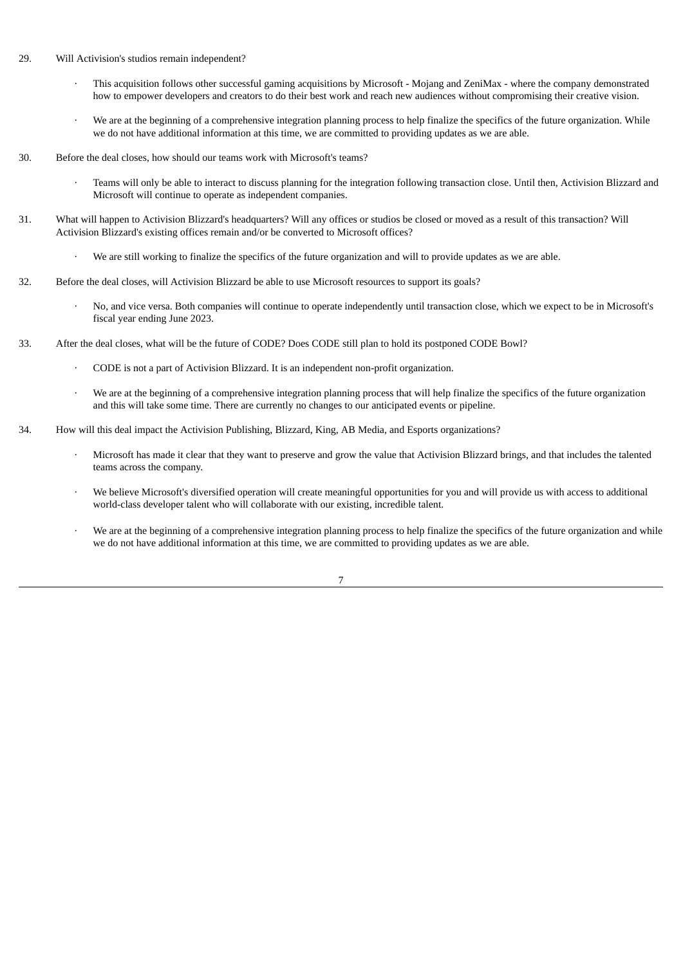### 29. Will Activision's studios remain independent?

- · This acquisition follows other successful gaming acquisitions by Microsoft Mojang and ZeniMax where the company demonstrated how to empower developers and creators to do their best work and reach new audiences without compromising their creative vision.
- We are at the beginning of a comprehensive integration planning process to help finalize the specifics of the future organization. While we do not have additional information at this time, we are committed to providing updates as we are able.
- 30. Before the deal closes, how should our teams work with Microsoft's teams?
	- · Teams will only be able to interact to discuss planning for the integration following transaction close. Until then, Activision Blizzard and Microsoft will continue to operate as independent companies.
- 31. What will happen to Activision Blizzard's headquarters? Will any offices or studios be closed or moved as a result of this transaction? Will Activision Blizzard's existing offices remain and/or be converted to Microsoft offices?
	- We are still working to finalize the specifics of the future organization and will to provide updates as we are able.
- 32. Before the deal closes, will Activision Blizzard be able to use Microsoft resources to support its goals?
	- · No, and vice versa. Both companies will continue to operate independently until transaction close, which we expect to be in Microsoft's fiscal year ending June 2023.
- 33. After the deal closes, what will be the future of CODE? Does CODE still plan to hold its postponed CODE Bowl?
	- · CODE is not a part of Activision Blizzard. It is an independent non-profit organization.
	- We are at the beginning of a comprehensive integration planning process that will help finalize the specifics of the future organization and this will take some time. There are currently no changes to our anticipated events or pipeline.
- 34. How will this deal impact the Activision Publishing, Blizzard, King, AB Media, and Esports organizations?
	- · Microsoft has made it clear that they want to preserve and grow the value that Activision Blizzard brings, and that includes the talented teams across the company.
	- We believe Microsoft's diversified operation will create meaningful opportunities for you and will provide us with access to additional world-class developer talent who will collaborate with our existing, incredible talent.
	- We are at the beginning of a comprehensive integration planning process to help finalize the specifics of the future organization and while we do not have additional information at this time, we are committed to providing updates as we are able.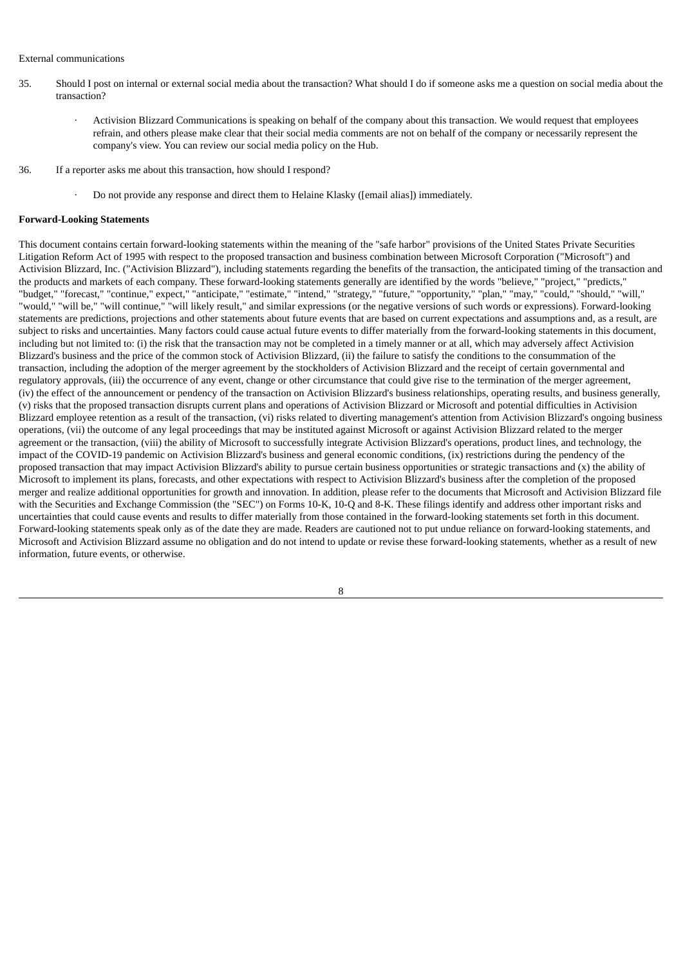#### External communications

- 35. Should I post on internal or external social media about the transaction? What should I do if someone asks me a question on social media about the transaction?
	- · Activision Blizzard Communications is speaking on behalf of the company about this transaction. We would request that employees refrain, and others please make clear that their social media comments are not on behalf of the company or necessarily represent the company's view. You can review our social media policy on the Hub.
- 36. If a reporter asks me about this transaction, how should I respond?
	- · Do not provide any response and direct them to Helaine Klasky ([email alias]) immediately.

#### **Forward-Looking Statements**

This document contains certain forward-looking statements within the meaning of the "safe harbor" provisions of the United States Private Securities Litigation Reform Act of 1995 with respect to the proposed transaction and business combination between Microsoft Corporation ("Microsoft") and Activision Blizzard, Inc. ("Activision Blizzard"), including statements regarding the benefits of the transaction, the anticipated timing of the transaction and the products and markets of each company. These forward-looking statements generally are identified by the words "believe," "project," "predicts," "budget," "forecast," "continue," expect," "anticipate," "estimate," "intend," "strategy," "future," "opportunity," "plan," "may," "could," "should," "will," "would," "will be," "will continue," "will likely result," and similar expressions (or the negative versions of such words or expressions). Forward-looking statements are predictions, projections and other statements about future events that are based on current expectations and assumptions and, as a result, are subject to risks and uncertainties. Many factors could cause actual future events to differ materially from the forward-looking statements in this document, including but not limited to: (i) the risk that the transaction may not be completed in a timely manner or at all, which may adversely affect Activision Blizzard's business and the price of the common stock of Activision Blizzard, (ii) the failure to satisfy the conditions to the consummation of the transaction, including the adoption of the merger agreement by the stockholders of Activision Blizzard and the receipt of certain governmental and regulatory approvals, (iii) the occurrence of any event, change or other circumstance that could give rise to the termination of the merger agreement, (iv) the effect of the announcement or pendency of the transaction on Activision Blizzard's business relationships, operating results, and business generally, (v) risks that the proposed transaction disrupts current plans and operations of Activision Blizzard or Microsoft and potential difficulties in Activision Blizzard employee retention as a result of the transaction, (vi) risks related to diverting management's attention from Activision Blizzard's ongoing business operations, (vii) the outcome of any legal proceedings that may be instituted against Microsoft or against Activision Blizzard related to the merger agreement or the transaction, (viii) the ability of Microsoft to successfully integrate Activision Blizzard's operations, product lines, and technology, the impact of the COVID-19 pandemic on Activision Blizzard's business and general economic conditions, (ix) restrictions during the pendency of the proposed transaction that may impact Activision Blizzard's ability to pursue certain business opportunities or strategic transactions and (x) the ability of Microsoft to implement its plans, forecasts, and other expectations with respect to Activision Blizzard's business after the completion of the proposed merger and realize additional opportunities for growth and innovation. In addition, please refer to the documents that Microsoft and Activision Blizzard file with the Securities and Exchange Commission (the "SEC") on Forms 10-K, 10-Q and 8-K. These filings identify and address other important risks and uncertainties that could cause events and results to differ materially from those contained in the forward-looking statements set forth in this document. Forward-looking statements speak only as of the date they are made. Readers are cautioned not to put undue reliance on forward-looking statements, and Microsoft and Activision Blizzard assume no obligation and do not intend to update or revise these forward-looking statements, whether as a result of new information, future events, or otherwise.